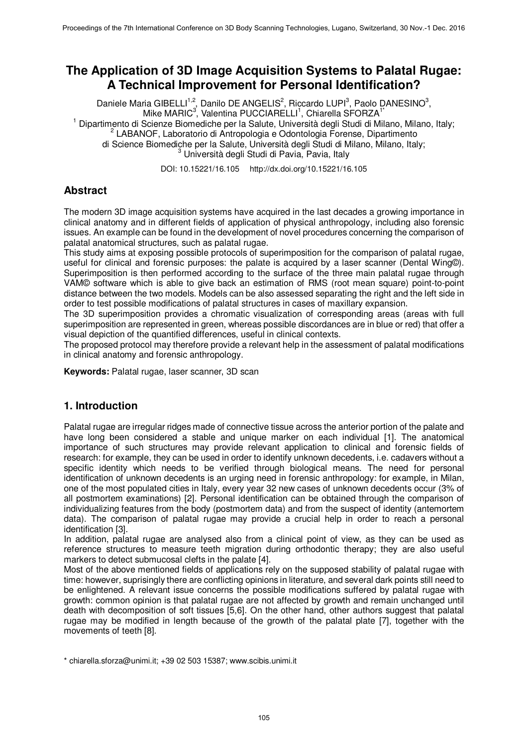# **The Application of 3D Image Acquisition Systems to Palatal Rugae: A Technical Improvement for Personal Identification?**

Daniele Maria GIBELLI<sup>1,2</sup>, Danilo DE ANGELIS<sup>2</sup>, Riccardo LUPI<sup>3</sup>, Paolo DANESINO<sup>3</sup>, Mike MARIC<sup>3</sup>, Valentina PUCCIARELLI<sup>1</sup>, Chiarella SFORZA<sup>1\*</sup> <sup>1</sup> Dipartimento di Scienze Biomediche per la Salute, Università degli Studi di Milano, Milano, Italy; <sup>2</sup> LABANOF, Laboratorio di Antropologia e Odontologia Forense, Dipartimento di Science Biomediche per la Salute, Università degli Studi di Milano, Milano, Italy; <sup>3</sup> Università degli Studi di Pavia, Pavia, Italy

DOI: 10.15221/16.105 http://dx.doi.org/10.15221/16.105

## **Abstract**

The modern 3D image acquisition systems have acquired in the last decades a growing importance in clinical anatomy and in different fields of application of physical anthropology, including also forensic issues. An example can be found in the development of novel procedures concerning the comparison of palatal anatomical structures, such as palatal rugae.

This study aims at exposing possible protocols of superimposition for the comparison of palatal rugae, useful for clinical and forensic purposes: the palate is acquired by a laser scanner (Dental Wing©). Superimposition is then performed according to the surface of the three main palatal rugae through VAM© software which is able to give back an estimation of RMS (root mean square) point-to-point distance between the two models. Models can be also assessed separating the right and the left side in order to test possible modifications of palatal structures in cases of maxillary expansion.

The 3D superimposition provides a chromatic visualization of corresponding areas (areas with full superimposition are represented in green, whereas possible discordances are in blue or red) that offer a visual depiction of the quantified differences, useful in clinical contexts.

The proposed protocol may therefore provide a relevant help in the assessment of palatal modifications in clinical anatomy and forensic anthropology.

**Keywords:** Palatal rugae, laser scanner, 3D scan

#### **1. Introduction**

Palatal rugae are irregular ridges made of connective tissue across the anterior portion of the palate and have long been considered a stable and unique marker on each individual [1]. The anatomical importance of such structures may provide relevant application to clinical and forensic fields of research: for example, they can be used in order to identify unknown decedents, i.e. cadavers without a specific identity which needs to be verified through biological means. The need for personal identification of unknown decedents is an urging need in forensic anthropology: for example, in Milan, one of the most populated cities in Italy, every year 32 new cases of unknown decedents occur (3% of all postmortem examinations) [2]. Personal identification can be obtained through the comparison of individualizing features from the body (postmortem data) and from the suspect of identity (antemortem data). The comparison of palatal rugae may provide a crucial help in order to reach a personal identification [3].

In addition, palatal rugae are analysed also from a clinical point of view, as they can be used as reference structures to measure teeth migration during orthodontic therapy; they are also useful markers to detect submucosal clefts in the palate [4].

Most of the above mentioned fields of applications rely on the supposed stability of palatal rugae with time: however, suprisingly there are conflicting opinions in literature, and several dark points still need to be enlightened. A relevant issue concerns the possible modifications suffered by palatal rugae with growth: common opinion is that palatal rugae are not affected by growth and remain unchanged until death with decomposition of soft tissues [5,6]. On the other hand, other authors suggest that palatal rugae may be modified in length because of the growth of the palatal plate [7], together with the movements of teeth [8].

<sup>\*</sup> chiarella.sforza@unimi.it; +39 02 503 15387; www.scibis.unimi.it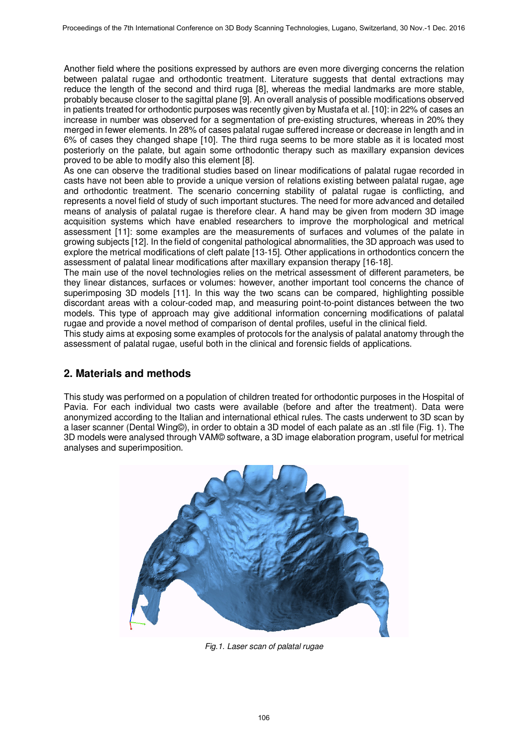Another field where the positions expressed by authors are even more diverging concerns the relation between palatal rugae and orthodontic treatment. Literature suggests that dental extractions may reduce the length of the second and third ruga [8], whereas the medial landmarks are more stable, probably because closer to the sagittal plane [9]. An overall analysis of possible modifications observed in patients treated for orthodontic purposes was recently given by Mustafa et al. [10]: in 22% of cases an increase in number was observed for a segmentation of pre-existing structures, whereas in 20% they merged in fewer elements. In 28% of cases palatal rugae suffered increase or decrease in length and in 6% of cases they changed shape [10]. The third ruga seems to be more stable as it is located most posteriorly on the palate, but again some orthodontic therapy such as maxillary expansion devices proved to be able to modify also this element [8].

As one can observe the traditional studies based on linear modifications of palatal rugae recorded in casts have not been able to provide a unique version of relations existing between palatal rugae, age and orthodontic treatment. The scenario concerning stability of palatal rugae is conflicting, and represents a novel field of study of such important stuctures. The need for more advanced and detailed means of analysis of palatal rugae is therefore clear. A hand may be given from modern 3D image acquisition systems which have enabled researchers to improve the morphological and metrical assessment [11]: some examples are the measurements of surfaces and volumes of the palate in growing subjects [12]. In the field of congenital pathological abnormalities, the 3D approach was used to explore the metrical modifications of cleft palate [13-15]. Other applications in orthodontics concern the assessment of palatal linear modifications after maxillary expansion therapy [16-18].

The main use of the novel technologies relies on the metrical assessment of different parameters, be they linear distances, surfaces or volumes: however, another important tool concerns the chance of superimposing 3D models [11]. In this way the two scans can be compared, highlighting possible discordant areas with a colour-coded map, and measuring point-to-point distances between the two models. This type of approach may give additional information concerning modifications of palatal rugae and provide a novel method of comparison of dental profiles, useful in the clinical field.

This study aims at exposing some examples of protocols for the analysis of palatal anatomy through the assessment of palatal rugae, useful both in the clinical and forensic fields of applications.

#### **2. Materials and methods**

This study was performed on a population of children treated for orthodontic purposes in the Hospital of Pavia. For each individual two casts were available (before and after the treatment). Data were anonymized according to the Italian and international ethical rules. The casts underwent to 3D scan by a laser scanner (Dental Wing©), in order to obtain a 3D model of each palate as an .stl file (Fig. 1). The 3D models were analysed through VAM© software, a 3D image elaboration program, useful for metrical analyses and superimposition.



*Fig.1. Laser scan of palatal rugae*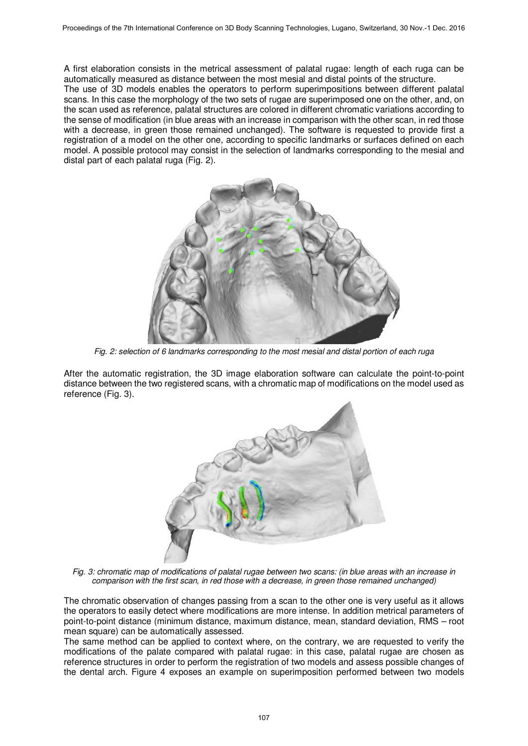A first elaboration consists in the metrical assessment of palatal rugae: length of each ruga can be automatically measured as distance between the most mesial and distal points of the structure.

The use of 3D models enables the operators to perform superimpositions between different palatal scans. In this case the morphology of the two sets of rugae are superimposed one on the other, and, on the scan used as reference, palatal structures are colored in different chromatic variations according to the sense of modification (in blue areas with an increase in comparison with the other scan, in red those with a decrease, in green those remained unchanged). The software is requested to provide first a registration of a model on the other one, according to specific landmarks or surfaces defined on each model. A possible protocol may consist in the selection of landmarks corresponding to the mesial and distal part of each palatal ruga (Fig. 2).



*Fig. 2: selection of 6 landmarks corresponding to the most mesial and distal portion of each ruga* 

After the automatic registration, the 3D image elaboration software can calculate the point-to-point distance between the two registered scans, with a chromatic map of modifications on the model used as reference (Fig. 3).



*Fig. 3: chromatic map of modifications of palatal rugae between two scans: (in blue areas with an increase in comparison with the first scan, in red those with a decrease, in green those remained unchanged)* 

The chromatic observation of changes passing from a scan to the other one is very useful as it allows the operators to easily detect where modifications are more intense. In addition metrical parameters of point-to-point distance (minimum distance, maximum distance, mean, standard deviation, RMS – root mean square) can be automatically assessed.

The same method can be applied to context where, on the contrary, we are requested to verify the modifications of the palate compared with palatal rugae: in this case, palatal rugae are chosen as reference structures in order to perform the registration of two models and assess possible changes of the dental arch. Figure 4 exposes an example on superimposition performed between two models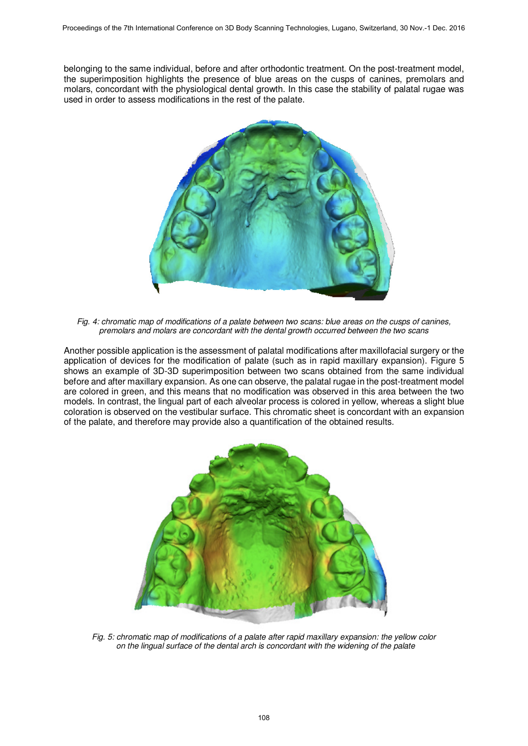belonging to the same individual, before and after orthodontic treatment. On the post-treatment model, the superimposition highlights the presence of blue areas on the cusps of canines, premolars and molars, concordant with the physiological dental growth. In this case the stability of palatal rugae was used in order to assess modifications in the rest of the palate.



*Fig. 4: chromatic map of modifications of a palate between two scans: blue areas on the cusps of canines, premolars and molars are concordant with the dental growth occurred between the two scans* 

Another possible application is the assessment of palatal modifications after maxillofacial surgery or the application of devices for the modification of palate (such as in rapid maxillary expansion). Figure 5 shows an example of 3D-3D superimposition between two scans obtained from the same individual before and after maxillary expansion. As one can observe, the palatal rugae in the post-treatment model are colored in green, and this means that no modification was observed in this area between the two models. In contrast, the lingual part of each alveolar process is colored in yellow, whereas a slight blue coloration is observed on the vestibular surface. This chromatic sheet is concordant with an expansion of the palate, and therefore may provide also a quantification of the obtained results.



*Fig. 5: chromatic map of modifications of a palate after rapid maxillary expansion: the yellow color on the lingual surface of the dental arch is concordant with the widening of the palate*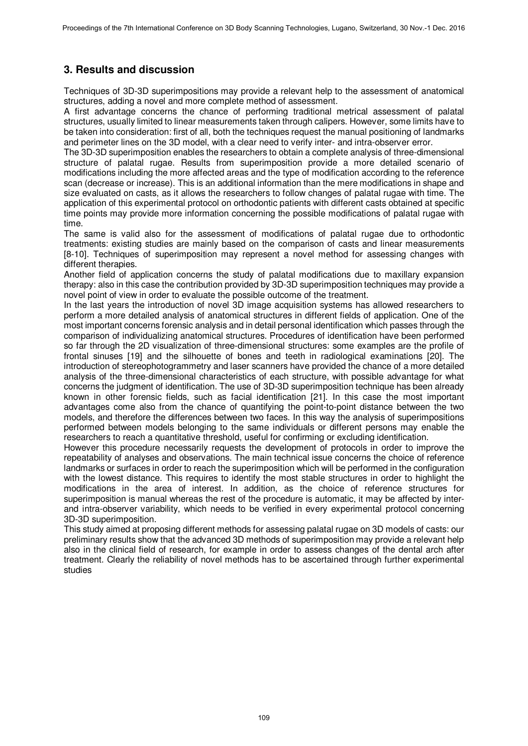## **3. Results and discussion**

Techniques of 3D-3D superimpositions may provide a relevant help to the assessment of anatomical structures, adding a novel and more complete method of assessment.

A first advantage concerns the chance of performing traditional metrical assessment of palatal structures, usually limited to linear measurements taken through calipers. However, some limits have to be taken into consideration: first of all, both the techniques request the manual positioning of landmarks and perimeter lines on the 3D model, with a clear need to verify inter- and intra-observer error.

The 3D-3D superimposition enables the researchers to obtain a complete analysis of three-dimensional structure of palatal rugae. Results from superimposition provide a more detailed scenario of modifications including the more affected areas and the type of modification according to the reference scan (decrease or increase). This is an additional information than the mere modifications in shape and size evaluated on casts, as it allows the researchers to follow changes of palatal rugae with time. The application of this experimental protocol on orthodontic patients with different casts obtained at specific time points may provide more information concerning the possible modifications of palatal rugae with time.

The same is valid also for the assessment of modifications of palatal rugae due to orthodontic treatments: existing studies are mainly based on the comparison of casts and linear measurements [8-10]. Techniques of superimposition may represent a novel method for assessing changes with different therapies.

Another field of application concerns the study of palatal modifications due to maxillary expansion therapy: also in this case the contribution provided by 3D-3D superimposition techniques may provide a novel point of view in order to evaluate the possible outcome of the treatment.

In the last years the introduction of novel 3D image acquisition systems has allowed researchers to perform a more detailed analysis of anatomical structures in different fields of application. One of the most important concerns forensic analysis and in detail personal identification which passes through the comparison of individualizing anatomical structures. Procedures of identification have been performed so far through the 2D visualization of three-dimensional structures: some examples are the profile of frontal sinuses [19] and the silhouette of bones and teeth in radiological examinations [20]. The introduction of stereophotogrammetry and laser scanners have provided the chance of a more detailed analysis of the three-dimensional characteristics of each structure, with possible advantage for what concerns the judgment of identification. The use of 3D-3D superimposition technique has been already known in other forensic fields, such as facial identification [21]. In this case the most important advantages come also from the chance of quantifying the point-to-point distance between the two models, and therefore the differences between two faces. In this way the analysis of superimpositions performed between models belonging to the same individuals or different persons may enable the researchers to reach a quantitative threshold, useful for confirming or excluding identification.

However this procedure necessarily requests the development of protocols in order to improve the repeatability of analyses and observations. The main technical issue concerns the choice of reference landmarks or surfaces in order to reach the superimposition which will be performed in the configuration with the lowest distance. This requires to identify the most stable structures in order to highlight the modifications in the area of interest. In addition, as the choice of reference structures for superimposition is manual whereas the rest of the procedure is automatic, it may be affected by interand intra-observer variability, which needs to be verified in every experimental protocol concerning 3D-3D superimposition.

This study aimed at proposing different methods for assessing palatal rugae on 3D models of casts: our preliminary results show that the advanced 3D methods of superimposition may provide a relevant help also in the clinical field of research, for example in order to assess changes of the dental arch after treatment. Clearly the reliability of novel methods has to be ascertained through further experimental studies